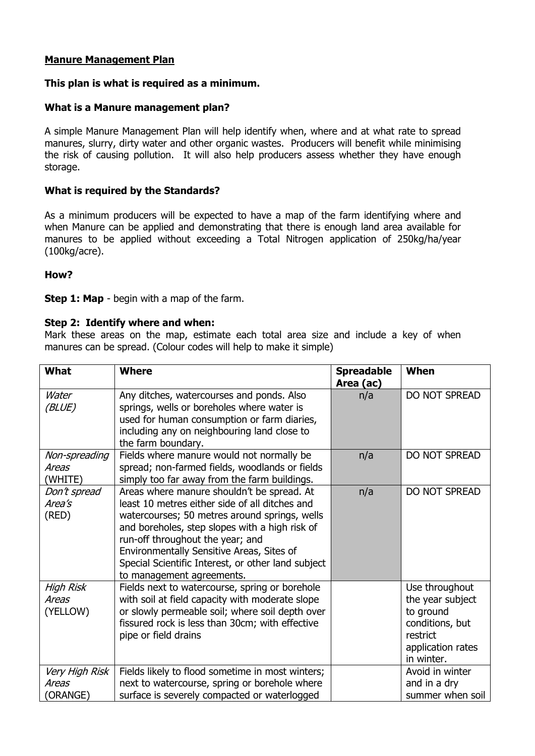## **Manure Management Plan**

## **This plan is what is required as a minimum.**

## **What is a Manure management plan?**

A simple Manure Management Plan will help identify when, where and at what rate to spread manures, slurry, dirty water and other organic wastes. Producers will benefit while minimising the risk of causing pollution. It will also help producers assess whether they have enough storage.

# **What is required by the Standards?**

As a minimum producers will be expected to have a map of the farm identifying where and when Manure can be applied and demonstrating that there is enough land area available for manures to be applied without exceeding a Total Nitrogen application of 250kg/ha/year (100kg/acre).

### **How?**

**Step 1: Map** - begin with a map of the farm.

### **Step 2: Identify where and when:**

Mark these areas on the map, estimate each total area size and include a key of when manures can be spread. (Colour codes will help to make it simple)

| What                                         | <b>Where</b>                                                                                                                                                                                                                                                                                                                                                        | <b>Spreadable</b><br>Area (ac) | When                                                                                                              |
|----------------------------------------------|---------------------------------------------------------------------------------------------------------------------------------------------------------------------------------------------------------------------------------------------------------------------------------------------------------------------------------------------------------------------|--------------------------------|-------------------------------------------------------------------------------------------------------------------|
| Water<br>(BLUE)                              | Any ditches, watercourses and ponds. Also<br>springs, wells or boreholes where water is<br>used for human consumption or farm diaries,<br>including any on neighbouring land close to<br>the farm boundary.                                                                                                                                                         | n/a                            | <b>DO NOT SPREAD</b>                                                                                              |
| Non-spreading<br>Areas<br>(WHITE)            | Fields where manure would not normally be<br>spread; non-farmed fields, woodlands or fields<br>simply too far away from the farm buildings.                                                                                                                                                                                                                         | n/a                            | DO NOT SPREAD                                                                                                     |
| Don't spread<br>Area's<br>(RED)              | Areas where manure shouldn't be spread. At<br>least 10 metres either side of all ditches and<br>watercourses; 50 metres around springs, wells<br>and boreholes, step slopes with a high risk of<br>run-off throughout the year; and<br>Environmentally Sensitive Areas, Sites of<br>Special Scientific Interest, or other land subject<br>to management agreements. | n/a                            | DO NOT SPREAD                                                                                                     |
| <b>High Risk</b><br><b>Areas</b><br>(YELLOW) | Fields next to watercourse, spring or borehole<br>with soil at field capacity with moderate slope<br>or slowly permeable soil; where soil depth over<br>fissured rock is less than 30cm; with effective<br>pipe or field drains                                                                                                                                     |                                | Use throughout<br>the year subject<br>to ground<br>conditions, but<br>restrict<br>application rates<br>in winter. |
| Very High Risk<br>Areas                      | Fields likely to flood sometime in most winters;<br>next to watercourse, spring or borehole where                                                                                                                                                                                                                                                                   |                                | Avoid in winter<br>and in a dry                                                                                   |
| (ORANGE)                                     | surface is severely compacted or waterlogged                                                                                                                                                                                                                                                                                                                        |                                | summer when soil                                                                                                  |